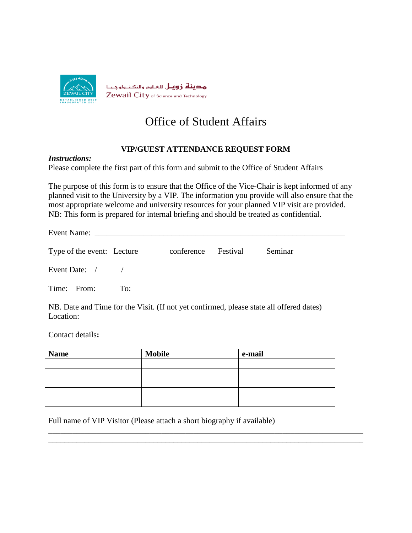

## Office of Student Affairs

## **VIP/GUEST ATTENDANCE REQUEST FORM**

## *Instructions:*

Please complete the first part of this form and submit to the Office of Student Affairs

The purpose of this form is to ensure that the Office of the Vice-Chair is kept informed of any planned visit to the University by a VIP. The information you provide will also ensure that the most appropriate welcome and university resources for your planned VIP visit are provided. NB: This form is prepared for internal briefing and should be treated as confidential.

Event Name:

| Type of the event: Lecture | conference Festival | Seminar |
|----------------------------|---------------------|---------|
|                            |                     |         |

Event Date: / /

Time: From: To:

NB. Date and Time for the Visit. (If not yet confirmed, please state all offered dates) Location:

Contact details**:**

| <b>Name</b> | <b>Mobile</b> | e-mail |
|-------------|---------------|--------|
|             |               |        |
|             |               |        |
|             |               |        |
|             |               |        |
|             |               |        |

\_\_\_\_\_\_\_\_\_\_\_\_\_\_\_\_\_\_\_\_\_\_\_\_\_\_\_\_\_\_\_\_\_\_\_\_\_\_\_\_\_\_\_\_\_\_\_\_\_\_\_\_\_\_\_\_\_\_\_\_\_\_\_\_\_\_\_\_\_\_\_\_\_\_\_\_\_\_ \_\_\_\_\_\_\_\_\_\_\_\_\_\_\_\_\_\_\_\_\_\_\_\_\_\_\_\_\_\_\_\_\_\_\_\_\_\_\_\_\_\_\_\_\_\_\_\_\_\_\_\_\_\_\_\_\_\_\_\_\_\_\_\_\_\_\_\_\_\_\_\_\_\_\_\_\_\_

Full name of VIP Visitor (Please attach a short biography if available)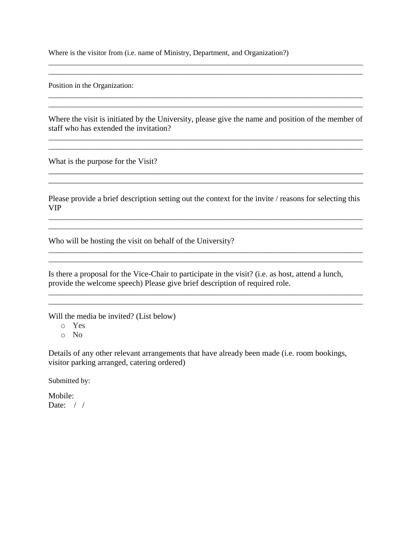Where is the visitor from (i.e. name of Ministry, Department, and Organization?)

Position in the Organization:

Where the visit is initiated by the University, please give the name and position of the member of staff who has extended the invitation?

\_\_\_\_\_\_\_\_\_\_\_\_\_\_\_\_\_\_\_\_\_\_\_\_\_\_\_\_\_\_\_\_\_\_\_\_\_\_\_\_\_\_\_\_\_\_\_\_\_\_\_\_\_\_\_\_\_\_\_\_\_\_\_\_\_\_\_\_\_\_\_\_\_\_\_\_\_\_\_\_\_\_\_\_\_ \_\_\_\_\_\_\_\_\_\_\_\_\_\_\_\_\_\_\_\_\_\_\_\_\_\_\_\_\_\_\_\_\_\_\_\_\_\_\_\_\_\_\_\_\_\_\_\_\_\_\_\_\_\_\_\_\_\_\_\_\_\_\_\_\_\_\_\_\_\_\_\_\_\_\_\_\_\_\_\_\_\_\_\_\_

\_\_\_\_\_\_\_\_\_\_\_\_\_\_\_\_\_\_\_\_\_\_\_\_\_\_\_\_\_\_\_\_\_\_\_\_\_\_\_\_\_\_\_\_\_\_\_\_\_\_\_\_\_\_\_\_\_\_\_\_\_\_\_\_\_\_\_\_\_\_\_\_\_\_\_\_\_\_

\_\_\_\_\_\_\_\_\_\_\_\_\_\_\_\_\_\_\_\_\_\_\_\_\_\_\_\_\_\_\_\_\_\_\_\_\_\_\_\_\_\_\_\_\_\_\_\_\_\_\_\_\_\_\_\_\_\_\_\_\_\_\_\_\_\_\_\_\_\_\_\_\_\_\_\_\_\_\_\_\_\_\_\_\_

\_\_\_\_\_\_\_\_\_\_\_\_\_\_\_\_\_\_\_\_\_\_\_\_\_\_\_\_\_\_\_\_\_\_\_\_\_\_\_\_\_\_\_\_\_\_\_\_\_\_\_\_\_\_\_\_\_\_\_\_\_\_\_\_\_\_\_\_\_\_\_\_\_\_\_\_\_\_\_\_\_\_\_\_\_

 $\_$  ,  $\_$  ,  $\_$  ,  $\_$  ,  $\_$  ,  $\_$  ,  $\_$  ,  $\_$  ,  $\_$  ,  $\_$  ,  $\_$  ,  $\_$  ,  $\_$  ,  $\_$  ,  $\_$  ,  $\_$  ,  $\_$  ,  $\_$  ,  $\_$ 

\_\_\_\_\_\_\_\_\_\_\_\_\_\_\_\_\_\_\_\_\_\_\_\_\_\_\_\_\_\_\_\_\_\_\_\_\_\_\_\_\_\_\_\_\_\_\_\_\_\_\_\_\_\_\_\_\_\_\_\_\_\_\_\_\_\_\_\_\_\_\_\_\_\_\_\_\_\_\_\_\_\_\_\_\_

What is the purpose for the Visit?

Please provide a brief description setting out the context for the invite / reasons for selecting this VIP

\_\_\_\_\_\_\_\_\_\_\_\_\_\_\_\_\_\_\_\_\_\_\_\_\_\_\_\_\_\_\_\_\_\_\_\_\_\_\_\_\_\_\_\_\_\_\_\_\_\_\_\_\_\_\_\_\_\_\_\_\_\_\_\_\_\_\_\_\_\_\_\_\_\_\_\_\_\_\_\_\_\_\_\_\_ \_\_\_\_\_\_\_\_\_\_\_\_\_\_\_\_\_\_\_\_\_\_\_\_\_\_\_\_\_\_\_\_\_\_\_\_\_\_\_\_\_\_\_\_\_\_\_\_\_\_\_\_\_\_\_\_\_\_\_\_\_\_\_\_\_\_\_\_\_\_\_\_\_\_\_\_\_\_\_\_\_\_\_\_\_

\_\_\_\_\_\_\_\_\_\_\_\_\_\_\_\_\_\_\_\_\_\_\_\_\_\_\_\_\_\_\_\_\_\_\_\_\_\_\_\_\_\_\_\_\_\_\_\_\_\_\_\_\_\_\_\_\_\_\_\_\_\_\_\_\_\_\_\_\_\_\_\_\_\_\_\_\_\_\_\_\_\_\_\_\_ \_\_\_\_\_\_\_\_\_\_\_\_\_\_\_\_\_\_\_\_\_\_\_\_\_\_\_\_\_\_\_\_\_\_\_\_\_\_\_\_\_\_\_\_\_\_\_\_\_\_\_\_\_\_\_\_\_\_\_\_\_\_\_\_\_\_\_\_\_\_\_\_\_\_\_\_\_\_\_\_\_\_\_\_\_

\_\_\_\_\_\_\_\_\_\_\_\_\_\_\_\_\_\_\_\_\_\_\_\_\_\_\_\_\_\_\_\_\_\_\_\_\_\_\_\_\_\_\_\_\_\_\_\_\_\_\_\_\_\_\_\_\_\_\_\_\_\_\_\_\_\_\_\_\_\_\_\_\_\_\_\_\_\_\_\_\_\_\_\_\_ \_\_\_\_\_\_\_\_\_\_\_\_\_\_\_\_\_\_\_\_\_\_\_\_\_\_\_\_\_\_\_\_\_\_\_\_\_\_\_\_\_\_\_\_\_\_\_\_\_\_\_\_\_\_\_\_\_\_\_\_\_\_\_\_\_\_\_\_\_\_\_\_\_\_\_\_\_\_\_\_\_\_\_\_\_

Who will be hosting the visit on behalf of the University?

Is there a proposal for the Vice-Chair to participate in the visit? (i.e. as host, attend a lunch, provide the welcome speech) Please give brief description of required role.

Will the media be invited? (List below)

o Yes

o No

Details of any other relevant arrangements that have already been made (i.e. room bookings, visitor parking arranged, catering ordered)

Submitted by:

Mobile: Date:  $/ /$